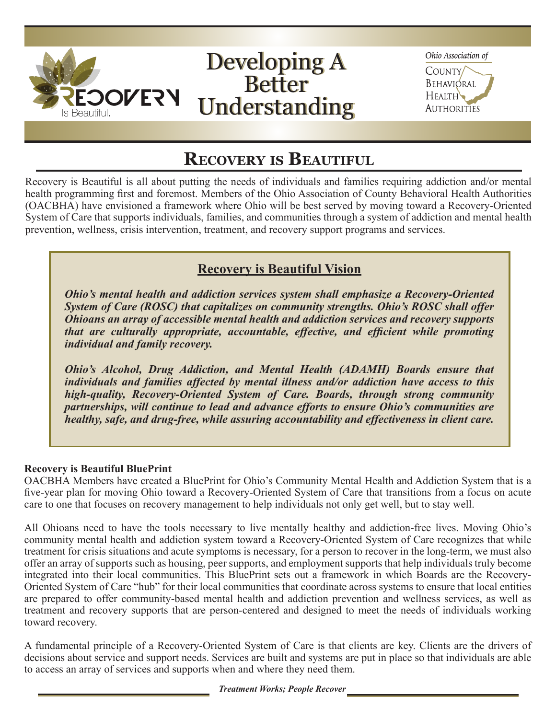

Ohio Association of

**COUNTY** BEHAVIORAL **HEALTH AUTHORITIES** 

# **Recovery is Beautiful**

Recovery is Beautiful is all about putting the needs of individuals and families requiring addiction and/or mental health programming first and foremost. Members of the Ohio Association of County Behavioral Health Authorities (OACBHA) have envisioned a framework where Ohio will be best served by moving toward a Recovery-Oriented System of Care that supports individuals, families, and communities through a system of addiction and mental health prevention, wellness, crisis intervention, treatment, and recovery support programs and services.

## **Recovery is Beautiful Vision**

*Ohio's mental health and addiction services system shall emphasize a Recovery-Oriented System of Care (ROSC) that capitalizes on community strengths. Ohio's ROSC shall offer Ohioans an array of accessible mental health and addiction services and recovery supports that are culturally appropriate, accountable, effective, and efficient while promoting individual and family recovery.* 

*Ohio's Alcohol, Drug Addiction, and Mental Health (ADAMH) Boards ensure that individuals and families affected by mental illness and/or addiction have access to this high-quality, Recovery-Oriented System of Care. Boards, through strong community partnerships, will continue to lead and advance efforts to ensure Ohio's communities are healthy, safe, and drug-free, while assuring accountability and effectiveness in client care.*

#### **Recovery is Beautiful BluePrint**

OACBHA Members have created a BluePrint for Ohio's Community Mental Health and Addiction System that is a five-year plan for moving Ohio toward a Recovery-Oriented System of Care that transitions from a focus on acute care to one that focuses on recovery management to help individuals not only get well, but to stay well.

All Ohioans need to have the tools necessary to live mentally healthy and addiction-free lives. Moving Ohio's community mental health and addiction system toward a Recovery-Oriented System of Care recognizes that while treatment for crisis situations and acute symptoms is necessary, for a person to recover in the long-term, we must also offer an array of supports such as housing, peer supports, and employment supports that help individuals truly become integrated into their local communities. This BluePrint sets out a framework in which Boards are the Recovery-Oriented System of Care "hub" for their local communities that coordinate across systems to ensure that local entities are prepared to offer community-based mental health and addiction prevention and wellness services, as well as treatment and recovery supports that are person-centered and designed to meet the needs of individuals working toward recovery.

A fundamental principle of a Recovery-Oriented System of Care is that clients are key. Clients are the drivers of decisions about service and support needs. Services are built and systems are put in place so that individuals are able to access an array of services and supports when and where they need them.